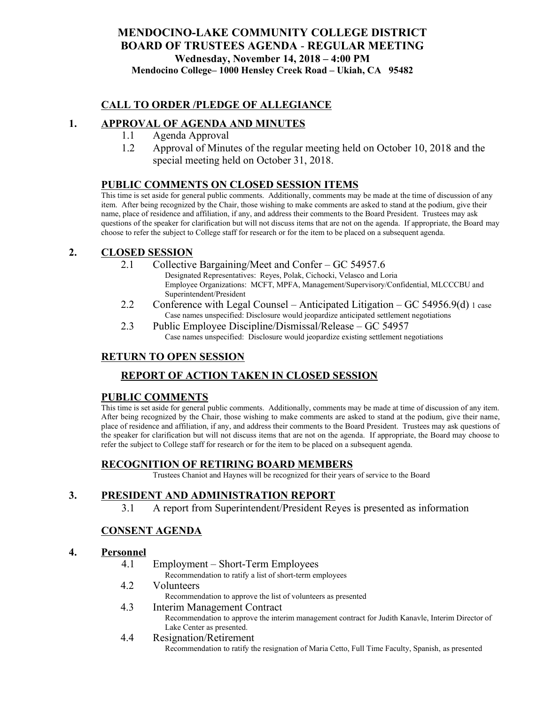## **MENDOCINO-LAKE COMMUNITY COLLEGE DISTRICT BOARD OF TRUSTEES AGENDA** - **REGULAR MEETING Wednesday, November 14, 2018 – 4:00 PM Mendocino College– 1000 Hensley Creek Road – Ukiah, CA 95482**

### **CALL TO ORDER /PLEDGE OF ALLEGIANCE**

### **1. APPROVAL OF AGENDA AND MINUTES**

- 1.1 Agenda Approval
- 1.2 Approval of Minutes of the regular meeting held on October 10, 2018 and the special meeting held on October 31, 2018.

#### **PUBLIC COMMENTS ON CLOSED SESSION ITEMS**

This time is set aside for general public comments. Additionally, comments may be made at the time of discussion of any item. After being recognized by the Chair, those wishing to make comments are asked to stand at the podium, give their name, place of residence and affiliation, if any, and address their comments to the Board President. Trustees may ask questions of the speaker for clarification but will not discuss items that are not on the agenda. If appropriate, the Board may choose to refer the subject to College staff for research or for the item to be placed on a subsequent agenda.

#### **2. CLOSED SESSION**

- 2.1 Collective Bargaining/Meet and Confer GC 54957.6
	- Designated Representatives: Reyes, Polak, Cichocki, Velasco and Loria Employee Organizations: MCFT, MPFA, Management/Supervisory/Confidential, MLCCCBU and Superintendent/President
- 2.2 Conference with Legal Counsel Anticipated Litigation GC 54956.9(d)  $_1$  case Case names unspecified: Disclosure would jeopardize anticipated settlement negotiations
- 2.3 Public Employee Discipline/Dismissal/Release GC 54957 Case names unspecified: Disclosure would jeopardize existing settlement negotiations

### **RETURN TO OPEN SESSION**

## **REPORT OF ACTION TAKEN IN CLOSED SESSION**

#### **PUBLIC COMMENTS**

This time is set aside for general public comments. Additionally, comments may be made at time of discussion of any item. After being recognized by the Chair, those wishing to make comments are asked to stand at the podium, give their name, place of residence and affiliation, if any, and address their comments to the Board President. Trustees may ask questions of the speaker for clarification but will not discuss items that are not on the agenda. If appropriate, the Board may choose to refer the subject to College staff for research or for the item to be placed on a subsequent agenda.

#### **RECOGNITION OF RETIRING BOARD MEMBERS**

Trustees Chaniot and Haynes will be recognized for their years of service to the Board

#### **3. PRESIDENT AND ADMINISTRATION REPORT**

3.1 A report from Superintendent/President Reyes is presented as information

## **CONSENT AGENDA**

#### **4. Personnel**

4.1 Employment – Short-Term Employees

Recommendation to ratify a list of short-term employees

- 4.2 Volunteers
	- Recommendation to approve the list of volunteers as presented
- 4.3 Interim Management Contract Recommendation to approve the interim management contract for Judith Kanavle, Interim Director of Lake Center as presented.
- 4.4 Resignation/Retirement

Recommendation to ratify the resignation of Maria Cetto, Full Time Faculty, Spanish, as presented